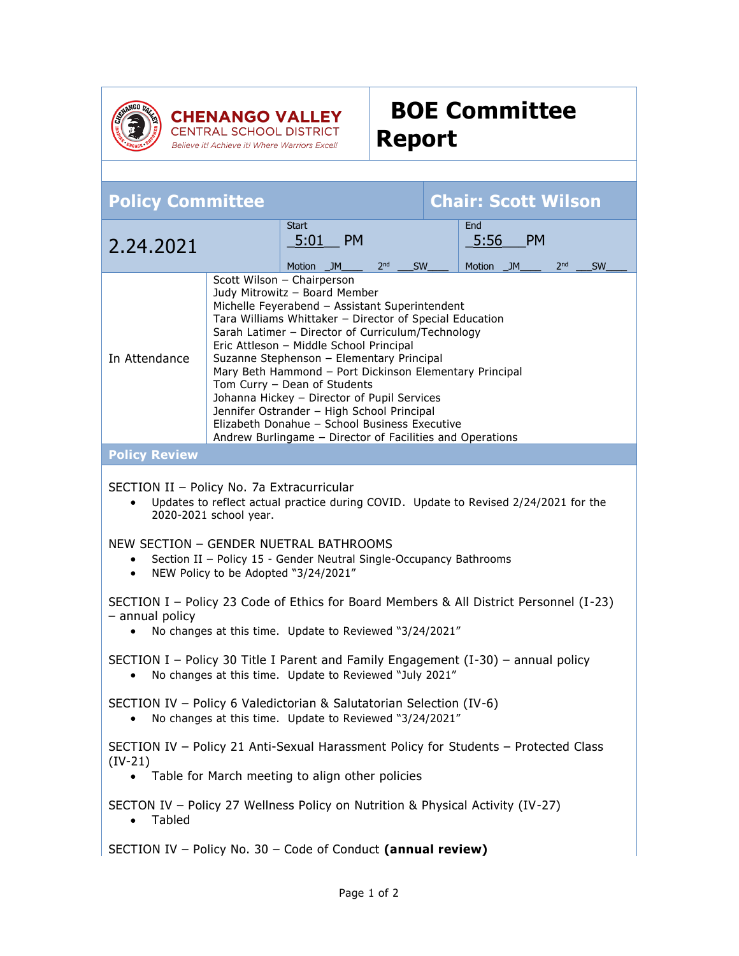

Believe it! Achieve it! Where Warriors Excel!

## **BOE Committee Report**

| <b>Policy Committee</b>                                                                                                                                                                                                                                                                                                                                                                                                                                                                                                                                                                                                                      |  |                                                |                       | <b>Chair: Scott Wilson</b> |                                    |           |                 |           |
|----------------------------------------------------------------------------------------------------------------------------------------------------------------------------------------------------------------------------------------------------------------------------------------------------------------------------------------------------------------------------------------------------------------------------------------------------------------------------------------------------------------------------------------------------------------------------------------------------------------------------------------------|--|------------------------------------------------|-----------------------|----------------------------|------------------------------------|-----------|-----------------|-----------|
| 2.24.2021                                                                                                                                                                                                                                                                                                                                                                                                                                                                                                                                                                                                                                    |  | <b>Start</b><br><b>PM</b><br>5:01<br>Motion JM | 2 <sub>nd</sub><br>SW |                            | End<br>5:56<br><b>Motion</b><br>JM | <b>PM</b> | 2 <sub>nd</sub> | <b>SW</b> |
| Scott Wilson - Chairperson<br>Judy Mitrowitz - Board Member<br>Michelle Feyerabend - Assistant Superintendent<br>Tara Williams Whittaker - Director of Special Education<br>Sarah Latimer - Director of Curriculum/Technology<br>Eric Attleson - Middle School Principal<br>In Attendance<br>Suzanne Stephenson - Elementary Principal<br>Mary Beth Hammond - Port Dickinson Elementary Principal<br>Tom Curry - Dean of Students<br>Johanna Hickey - Director of Pupil Services<br>Jennifer Ostrander - High School Principal<br>Elizabeth Donahue - School Business Executive<br>Andrew Burlingame - Director of Facilities and Operations |  |                                                |                       |                            |                                    |           |                 |           |
| <b>Policy Review</b>                                                                                                                                                                                                                                                                                                                                                                                                                                                                                                                                                                                                                         |  |                                                |                       |                            |                                    |           |                 |           |
| SECTION II - Policy No. 7a Extracurricular<br>Updates to reflect actual practice during COVID. Update to Revised 2/24/2021 for the<br>2020-2021 school year.<br>NEW SECTION - GENDER NUETRAL BATHROOMS<br>Section II - Policy 15 - Gender Neutral Single-Occupancy Bathrooms<br>NEW Policy to be Adopted "3/24/2021"<br>$\bullet$                                                                                                                                                                                                                                                                                                            |  |                                                |                       |                            |                                    |           |                 |           |
| SECTION I - Policy 23 Code of Ethics for Board Members & All District Personnel (I-23)<br>- annual policy<br>No changes at this time. Update to Reviewed "3/24/2021"<br>$\bullet$                                                                                                                                                                                                                                                                                                                                                                                                                                                            |  |                                                |                       |                            |                                    |           |                 |           |
| SECTION I – Policy 30 Title I Parent and Family Engagement $(I-30)$ – annual policy<br>No changes at this time. Update to Reviewed "July 2021"<br>$\bullet$                                                                                                                                                                                                                                                                                                                                                                                                                                                                                  |  |                                                |                       |                            |                                    |           |                 |           |
| SECTION IV - Policy 6 Valedictorian & Salutatorian Selection (IV-6)<br>No changes at this time. Update to Reviewed "3/24/2021"                                                                                                                                                                                                                                                                                                                                                                                                                                                                                                               |  |                                                |                       |                            |                                    |           |                 |           |
| SECTION IV - Policy 21 Anti-Sexual Harassment Policy for Students - Protected Class<br>$(IV-21)$                                                                                                                                                                                                                                                                                                                                                                                                                                                                                                                                             |  |                                                |                       |                            |                                    |           |                 |           |
| Table for March meeting to align other policies<br>$\bullet$                                                                                                                                                                                                                                                                                                                                                                                                                                                                                                                                                                                 |  |                                                |                       |                            |                                    |           |                 |           |
| SECTON IV - Policy 27 Wellness Policy on Nutrition & Physical Activity (IV-27)<br>Tabled                                                                                                                                                                                                                                                                                                                                                                                                                                                                                                                                                     |  |                                                |                       |                            |                                    |           |                 |           |
| SECTION IV - Policy No. 30 - Code of Conduct (annual review)                                                                                                                                                                                                                                                                                                                                                                                                                                                                                                                                                                                 |  |                                                |                       |                            |                                    |           |                 |           |